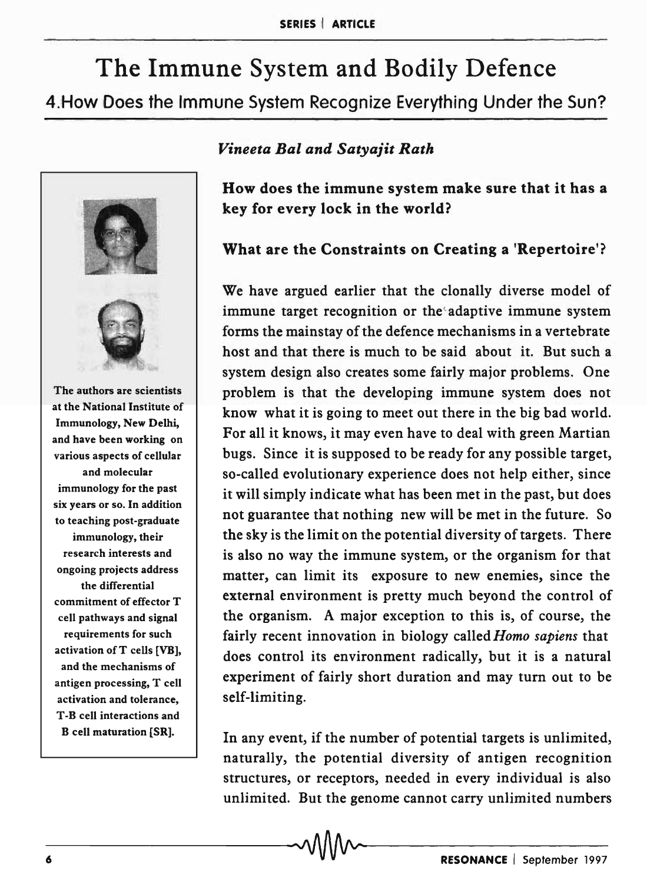# The Immune System and Bodily Defence 4.How Does the Immune System Recognize Everything Under the Sun?



#### *Vineeta Bal and Satyajit Rath*

How does the immune system make sure that it has a key for every lock in the world?

## What are the Constraints on Creating a 'Repertoire'?

We have argued earlier that the clonally diverse model of immune target recognition or the adaptive immune system forms the mainstay of the defence mechanisms in a vertebrate host and that there is much to be said about it. But such a system design also creates some fairly major problems. One problem is that the developing immune system does not know what it is going to meet out there in the big bad world. For all it knows, it may even have to deal with green Martian bugs. Since it is supposed to be ready for any possible target, so-called evolutionary experience does not help either, since it will simply indicate what has been met in the past, but does not guarantee that nothing new will be met in the future. So the sky is the limit on the potential diversity of targets. There is also no way the immune system, or the organism for that matter, can limit its exposure to new enemies, since the external environment is pretty much beyond the control of the organism. A major exception to this is, of course, the fairly recent innovation in biology called *Homo sapiens* that does control its environment radically, but it is a natural experiment of fairly short duration and may turn out to be self-limiting.

In any event, if the number of potential targets is unlimited, naturally, the potential diversity of antigen recognition structures, or receptors, needed in every individual is also unlimited. But the genome cannot carry unlimited numbers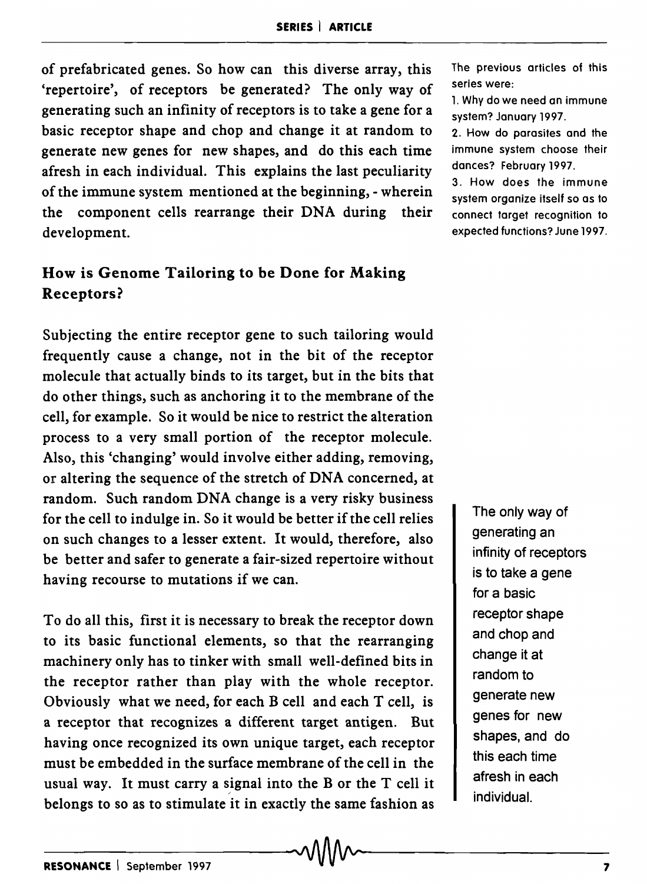of prefabricated genes. So how can this diverse array, this 'repertoire', of receptors be generated? The only way of generating such an infinity of receptors is to take a gene for a basic receptor shape and chop and change it at random to generate new genes for new shapes, and do this each time afresh in each individual. This explains the last peculiarity of the immune system mentioned at the beginning, - wherein the component cells rearrange their DNA during their development.

## How is Genome Tailoring to be Done for Making Receptors?

Subjecting the entire receptor gene to such tailoring would frequently cause a change, not in the bit of the receptor molecule that actually binds to its target, but in the bits that do other things, such as anchoring it to the membrane of the cell, for example. So it would be nice to restrict the alteration process to a very small portion of the receptor molecule. Also, this 'changing' would involve either adding, removing, or altering the sequence of the stretch of DNA concerned, at random. Such random DNA change is a very risky business for the cell to indulge in. So it would be better if the cell relies on such changes to a lesser extent. It would, therefore, also be better and safer to generate a fair-sized repertoire without having recourse to mutations if we can.

To do all this, first it is necessary to break the receptor down to its basic functional elements, so that the rearranging machinery only has to tinker with small well-defined bits in the receptor rather than play with the whole receptor. Obviously what we need, for each B cell and each T cell, is a receptor that recognizes a different target antigen. But having once recognized its own unique target, each receptor must be embedded in the surface membrane of the cell in the usual way. It must carry a signal into the B or the  $T$  cell it belongs to so as to stimulate it in exactly the same fashion as The previous articles of this series were:

1. Why do we need an immune system? January 1997.

2. How do parasites and the immune system choose their dances? February 1997.

3. How does the immune system organize itself so as to connect target recognition to expected functions? June 1997.

> The only way of generating an infinity of receptors is to take a gene for a basic receptor shape and chop and change it at random to generate new genes for new shapes, and do this each time afresh in each individual.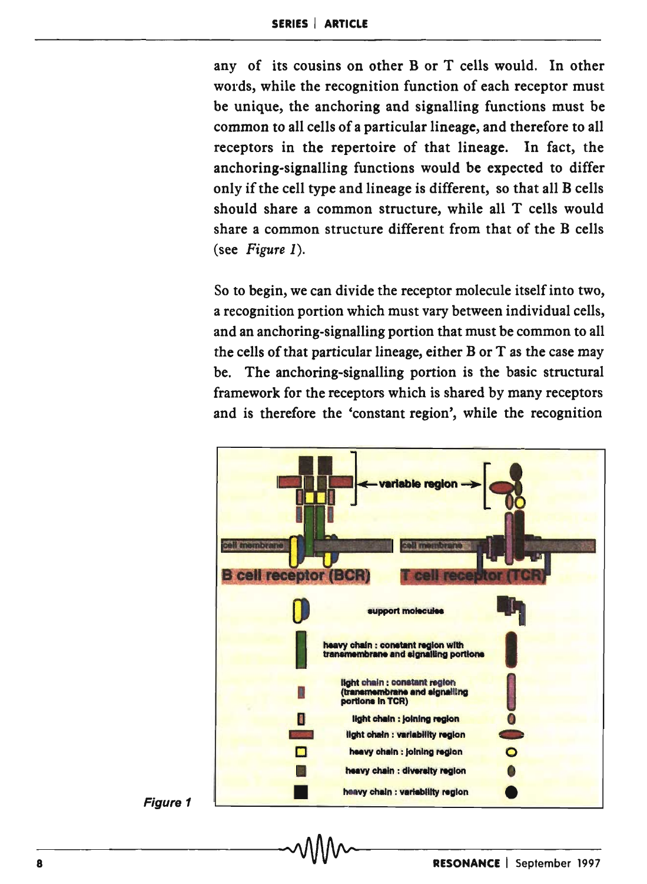any of its cousins on other B or T cells would. In other words, while the recognition function of each receptor must be unique, the anchoring and signalling functions must be common to all cells of a particular lineage, and therefore to all receptors in the repertoire of that lineage. In fact, the anchoring-signalling functions would be expected to differ only if the cell type and lineage is different, so that all B cells should share a common structure, while all T cells would share a common structure different from that of the B cells (see Figure 1).

So to begin, we can divide the receptor molecule itself into two, a recognition portion which must vary between individual cells, and an anchoring-signalling portion that must be common to all the cells of that particular lineage, either B or T as the case may be. The anchoring-signalling portion is the basic structural framework for the receptors which is shared by many receptors and is therefore the 'constant region', while the recognition



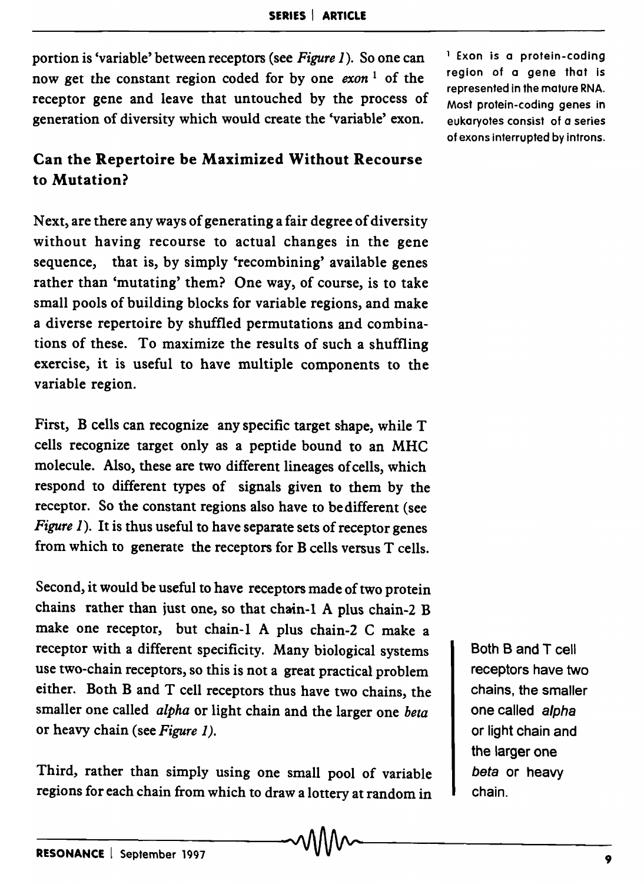portion is 'variable' between receptors (see *Figure* 1). So one can now get the constant region coded for by one *exon* 1 of the receptor gene and leave that untouched by the process of generation of diversity which would create the 'variable' exon.

## Can the Repertoire be Maximized Without Recourse to Mutation?

Next, are there any ways of generating a fair degree of diversity without having recourse to actual changes in the gene sequence, that is, by simply 'recombining' available genes rather than 'mutating' them? One way, of course, is to take small pools of building blocks for variable regions, and make a diverse repertoire by shuffled permutations and combinations of these. To maximize the results of such a shuffling exercise, it is useful to have multiple components to the variable region.

First, B cells can recognize any specific target shape, while T cells recognize target only as a peptide bound to an MHC molecule. Also, these are two different lineages of cells, which respond to different types of signals given to them by the receptor. So the constant regions also have to bedifferent (see *Figure 1*). It is thus useful to have separate sets of receptor genes from which to generate the receptors for B cells versus T cells.

Second, it would be useful to have receptors made of two protein chains rather than just one, so that chain-l A plus chain-2 B make one receptor, but chain-l A plus chain-2 C make a receptor with a different specificity. Many biological systems use two-chain receptors, so this is not a great practical problem either. Both Band T cell receptors thus have two chains, the smaller one called *alpha* or light chain and the larger one *beta*  or heavy chain (see *Figure 1).* 

Third, rather than simply using one small pool of variable regions for each chain from which to draw a lottery at random in 1 Exon is a protein-coding region of a gene that is represented in the mature RNA. Most protein-coding genes in eukaryotes consist of a series of exons interrupted by introns.

> Both Band T cell receptors have two chains, the smaller one called alpha or light chain and the larger one beta or heavy chain.